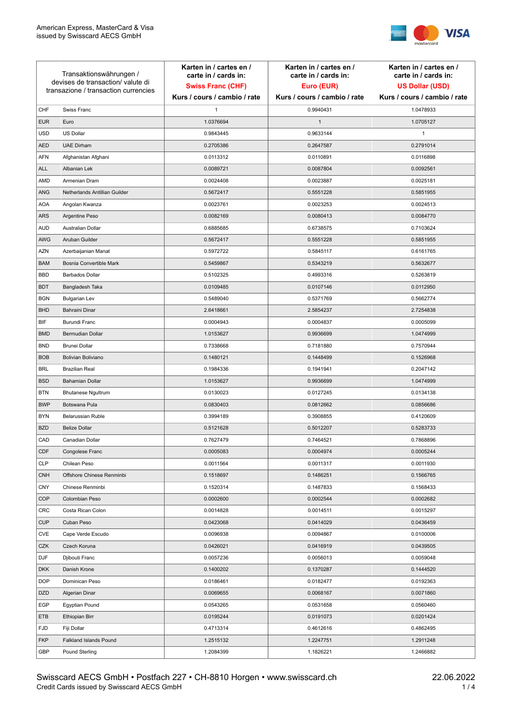

| Kurs / cours / cambio / rate<br>Kurs / cours / cambio / rate<br>Kurs / cours / cambio / rate<br>Swiss Franc<br>CHF<br>0.9940431<br>1.0478933<br>$\mathbf{1}$<br>$\mathbf{1}$<br><b>EUR</b><br>Euro<br>1.0376694<br>1.0705127<br><b>USD</b><br><b>US Dollar</b><br>0.9843445<br>0.9633144<br>1 |  |
|-----------------------------------------------------------------------------------------------------------------------------------------------------------------------------------------------------------------------------------------------------------------------------------------------|--|
|                                                                                                                                                                                                                                                                                               |  |
|                                                                                                                                                                                                                                                                                               |  |
|                                                                                                                                                                                                                                                                                               |  |
|                                                                                                                                                                                                                                                                                               |  |
| <b>UAE Dirham</b><br><b>AED</b><br>0.2705386<br>0.2647587<br>0.2791014                                                                                                                                                                                                                        |  |
| <b>AFN</b><br>0.0110891<br>0.0116898<br>Afghanistan Afghani<br>0.0113312                                                                                                                                                                                                                      |  |
| <b>ALL</b><br>0.0087804<br>Albanian Lek<br>0.0089721<br>0.0092561                                                                                                                                                                                                                             |  |
| AMD<br>Armenian Dram<br>0.0024408<br>0.0023887<br>0.0025181                                                                                                                                                                                                                                   |  |
| ANG<br>Netherlands Antillian Guilder<br>0.5551228<br>0.5851955<br>0.5672417                                                                                                                                                                                                                   |  |
| <b>AOA</b><br>0.0023253<br>0.0024513<br>Angolan Kwanza<br>0.0023761                                                                                                                                                                                                                           |  |
| ARS<br>Argentine Peso<br>0.0082169<br>0.0080413<br>0.0084770                                                                                                                                                                                                                                  |  |
| <b>AUD</b><br>Australian Dollar<br>0.6885685<br>0.6738575<br>0.7103624                                                                                                                                                                                                                        |  |
| AWG<br>Aruban Guilder<br>0.5672417<br>0.5551228<br>0.5851955                                                                                                                                                                                                                                  |  |
| <b>AZN</b><br>0.5972722<br>0.5845117<br>Azerbaijanian Manat<br>0.6161765                                                                                                                                                                                                                      |  |
| Bosnia Convertible Mark<br>0.5459867<br>0.5343219<br><b>BAM</b><br>0.5632677                                                                                                                                                                                                                  |  |
| <b>BBD</b><br><b>Barbados Dollar</b><br>0.5102325<br>0.4993316<br>0.5263819                                                                                                                                                                                                                   |  |
| 0.0109485<br><b>BDT</b><br>Bangladesh Taka<br>0.0107146<br>0.0112950                                                                                                                                                                                                                          |  |
| <b>BGN</b><br><b>Bulgarian Lev</b><br>0.5489040<br>0.5371769<br>0.5662774                                                                                                                                                                                                                     |  |
| <b>BHD</b><br>Bahraini Dinar<br>2.6418661<br>2.5854237<br>2.7254838                                                                                                                                                                                                                           |  |
| BIF<br>Burundi Franc<br>0.0004943<br>0.0004837<br>0.0005099                                                                                                                                                                                                                                   |  |
| <b>BMD</b><br>Bermudian Dollar<br>1.0153627<br>0.9936699<br>1.0474999                                                                                                                                                                                                                         |  |
| <b>BND</b><br><b>Brunei Dollar</b><br>0.7338668<br>0.7181880<br>0.7570944                                                                                                                                                                                                                     |  |
| <b>BOB</b><br>Bolivian Boliviano<br>0.1480121<br>0.1448499<br>0.1526968                                                                                                                                                                                                                       |  |
| <b>BRL</b><br><b>Brazilian Real</b><br>0.1984336<br>0.1941941<br>0.2047142                                                                                                                                                                                                                    |  |
| <b>BSD</b><br><b>Bahamian Dollar</b><br>1.0153627<br>0.9936699<br>1.0474999                                                                                                                                                                                                                   |  |
| <b>BTN</b><br><b>Bhutanese Ngultrum</b><br>0.0130023<br>0.0127245<br>0.0134138                                                                                                                                                                                                                |  |
| <b>BWP</b><br>Botswana Pula<br>0.0830403<br>0.0812662<br>0.0856686                                                                                                                                                                                                                            |  |
| <b>BYN</b><br>Belarussian Ruble<br>0.3994189<br>0.3908855<br>0.4120609                                                                                                                                                                                                                        |  |
| <b>BZD</b><br><b>Belize Dollar</b><br>0.5121628<br>0.5012207<br>0.5283733                                                                                                                                                                                                                     |  |
| CAD<br>0.7627479<br>0.7868896<br>Canadian Dollar<br>0.7464521                                                                                                                                                                                                                                 |  |
| CDF<br>Congolese Franc<br>0.0005083<br>0.0004974<br>0.0005244                                                                                                                                                                                                                                 |  |
| <b>CLP</b><br>Chilean Peso<br>0.0011564<br>0.0011317<br>0.0011930                                                                                                                                                                                                                             |  |
| Offshore Chinese Renminbi<br><b>CNH</b><br>0.1518697<br>0.1486251<br>0.1566765                                                                                                                                                                                                                |  |
| <b>CNY</b><br>0.1520314<br>0.1487833<br>0.1568433<br>Chinese Renminbi                                                                                                                                                                                                                         |  |
| <b>COP</b><br>0.0002544<br>Colombian Peso<br>0.0002600<br>0.0002682                                                                                                                                                                                                                           |  |
| CRC<br>0.0014828<br>0.0014511<br>0.0015297<br>Costa Rican Colon                                                                                                                                                                                                                               |  |
| <b>CUP</b><br>Cuban Peso<br>0.0423068<br>0.0414029<br>0.0436459                                                                                                                                                                                                                               |  |
| CVE<br>Cape Verde Escudo<br>0.0096938<br>0.0094867<br>0.0100006                                                                                                                                                                                                                               |  |
| CZK<br>0.0426021<br>Czech Koruna<br>0.0416919<br>0.0439505                                                                                                                                                                                                                                    |  |
| DJF<br>Djibouti Franc<br>0.0057236<br>0.0056013<br>0.0059048                                                                                                                                                                                                                                  |  |
| <b>DKK</b><br>0.1400202<br>0.1370287<br>0.1444520<br>Danish Krone                                                                                                                                                                                                                             |  |
| <b>DOP</b><br>Dominican Peso<br>0.0186461<br>0.0182477<br>0.0192363                                                                                                                                                                                                                           |  |
| <b>DZD</b><br>0.0068167<br>Algerian Dinar<br>0.0069655<br>0.0071860                                                                                                                                                                                                                           |  |
| EGP<br>0.0543265<br>0.0560460<br>Egyptian Pound<br>0.0531658                                                                                                                                                                                                                                  |  |
| ETB<br>Ethiopian Birr<br>0.0195244<br>0.0191073<br>0.0201424                                                                                                                                                                                                                                  |  |
| <b>FJD</b><br>Fiji Dollar<br>0.4713314<br>0.4612616<br>0.4862495                                                                                                                                                                                                                              |  |
| <b>FKP</b><br>1.2515132<br>1.2247751<br>Falkland Islands Pound<br>1.2911248                                                                                                                                                                                                                   |  |
| GBP<br>1.2084399<br>1.1826221<br>1.2466882<br>Pound Sterling                                                                                                                                                                                                                                  |  |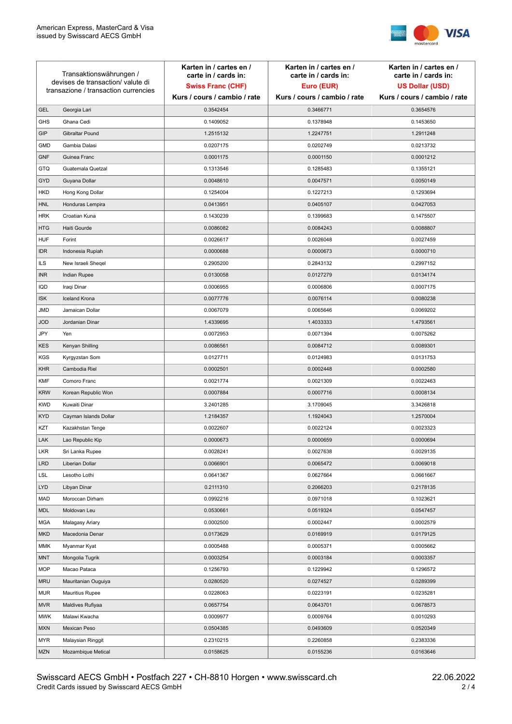

|                                                                           | Transaktionswährungen / | Karten in / cartes en /<br>carte in / cards in: | Karten in / cartes en /<br>carte in / cards in: | Karten in / cartes en /<br>carte in / cards in: |
|---------------------------------------------------------------------------|-------------------------|-------------------------------------------------|-------------------------------------------------|-------------------------------------------------|
| devises de transaction/ valute di<br>transazione / transaction currencies |                         | <b>Swiss Franc (CHF)</b>                        | Euro (EUR)                                      | <b>US Dollar (USD)</b>                          |
|                                                                           |                         | Kurs / cours / cambio / rate                    | Kurs / cours / cambio / rate                    | Kurs / cours / cambio / rate                    |
| <b>GEL</b>                                                                | Georgia Lari            | 0.3542454                                       | 0.3466771                                       | 0.3654576                                       |
| <b>GHS</b>                                                                | Ghana Cedi              | 0.1409052                                       | 0.1378948                                       | 0.1453650                                       |
| GIP                                                                       | Gibraltar Pound         | 1.2515132                                       | 1.2247751                                       | 1.2911248                                       |
| <b>GMD</b>                                                                | Gambia Dalasi           | 0.0207175                                       | 0.0202749                                       | 0.0213732                                       |
| <b>GNF</b>                                                                | Guinea Franc            | 0.0001175                                       | 0.0001150                                       | 0.0001212                                       |
| GTQ                                                                       | Guatemala Quetzal       | 0.1313546                                       | 0.1285483                                       | 0.1355121                                       |
| GYD                                                                       | Guyana Dollar           | 0.0048610                                       | 0.0047571                                       | 0.0050149                                       |
| <b>HKD</b>                                                                | Hong Kong Dollar        | 0.1254004                                       | 0.1227213                                       | 0.1293694                                       |
| <b>HNL</b>                                                                | Honduras Lempira        | 0.0413951                                       | 0.0405107                                       | 0.0427053                                       |
| <b>HRK</b>                                                                | Croatian Kuna           | 0.1430239                                       | 0.1399683                                       | 0.1475507                                       |
| <b>HTG</b>                                                                | Haiti Gourde            | 0.0086082                                       | 0.0084243                                       | 0.0088807                                       |
| <b>HUF</b>                                                                | Forint                  | 0.0026617                                       | 0.0026048                                       | 0.0027459                                       |
| <b>IDR</b>                                                                | Indonesia Rupiah        | 0.0000688                                       | 0.0000673                                       | 0.0000710                                       |
| <b>ILS</b>                                                                | New Israeli Sheqel      | 0.2905200                                       | 0.2843132                                       | 0.2997152                                       |
| <b>INR</b>                                                                | Indian Rupee            | 0.0130058                                       | 0.0127279                                       | 0.0134174                                       |
| IQD                                                                       | Iraqi Dinar             | 0.0006955                                       | 0.0006806                                       | 0.0007175                                       |
| <b>ISK</b>                                                                | <b>Iceland Krona</b>    | 0.0077776                                       | 0.0076114                                       | 0.0080238                                       |
| JMD                                                                       | Jamaican Dollar         | 0.0067079                                       | 0.0065646                                       | 0.0069202                                       |
| <b>JOD</b>                                                                | Jordanian Dinar         | 1.4339695                                       | 1.4033333                                       | 1.4793561                                       |
| JPY                                                                       | Yen                     | 0.0072953                                       | 0.0071394                                       | 0.0075262                                       |
| <b>KES</b>                                                                | Kenyan Shilling         | 0.0086561                                       | 0.0084712                                       | 0.0089301                                       |
| <b>KGS</b>                                                                | Kyrgyzstan Som          | 0.0127711                                       | 0.0124983                                       | 0.0131753                                       |
| <b>KHR</b>                                                                | Cambodia Riel           | 0.0002501                                       | 0.0002448                                       | 0.0002580                                       |
| <b>KMF</b>                                                                | Comoro Franc            | 0.0021774                                       | 0.0021309                                       | 0.0022463                                       |
| <b>KRW</b>                                                                | Korean Republic Won     | 0.0007884                                       | 0.0007716                                       | 0.0008134                                       |
| <b>KWD</b>                                                                | Kuwaiti Dinar           | 3.2401285                                       | 3.1709045                                       | 3.3426818                                       |
| <b>KYD</b>                                                                | Cayman Islands Dollar   | 1.2184357                                       | 1.1924043                                       | 1.2570004                                       |
| KZT                                                                       | Kazakhstan Tenge        | 0.0022607                                       | 0.0022124                                       | 0.0023323                                       |
| LAK                                                                       | Lao Republic Kip        | 0.0000673                                       | 0.0000659                                       | 0.0000694                                       |
| LKR                                                                       | Sri Lanka Rupee         | 0.0028241                                       | 0.0027638                                       | 0.0029135                                       |
| <b>LRD</b>                                                                | Liberian Dollar         | 0.0066901                                       | 0.0065472                                       | 0.0069018                                       |
| <b>LSL</b>                                                                | Lesotho Lothi           | 0.0641367                                       | 0.0627664                                       | 0.0661667                                       |
| <b>LYD</b>                                                                | Libyan Dinar            | 0.2111310                                       | 0.2066203                                       | 0.2178135                                       |
| MAD                                                                       | Moroccan Dirham         | 0.0992216                                       | 0.0971018                                       | 0.1023621                                       |
| MDL                                                                       | Moldovan Leu            | 0.0530661                                       | 0.0519324                                       | 0.0547457                                       |
| MGA                                                                       | Malagasy Ariary         | 0.0002500                                       | 0.0002447                                       | 0.0002579                                       |
| <b>MKD</b>                                                                | Macedonia Denar         | 0.0173629                                       | 0.0169919                                       | 0.0179125                                       |
| MMK                                                                       | Myanmar Kyat            | 0.0005488                                       | 0.0005371                                       | 0.0005662                                       |
| <b>MNT</b>                                                                | Mongolia Tugrik         | 0.0003254                                       | 0.0003184                                       | 0.0003357                                       |
| MOP                                                                       | Macao Pataca            | 0.1256793                                       | 0.1229942                                       | 0.1296572                                       |
| <b>MRU</b>                                                                | Mauritanian Ouguiya     | 0.0280520                                       | 0.0274527                                       | 0.0289399                                       |
| MUR                                                                       | <b>Mauritius Rupee</b>  | 0.0228063                                       | 0.0223191                                       | 0.0235281                                       |
| <b>MVR</b>                                                                | Maldives Rufiyaa        | 0.0657754                                       | 0.0643701                                       | 0.0678573                                       |
| <b>MWK</b>                                                                | Malawi Kwacha           | 0.0009977                                       | 0.0009764                                       | 0.0010293                                       |
| <b>MXN</b>                                                                | Mexican Peso            | 0.0504385                                       | 0.0493609                                       | 0.0520349                                       |
| <b>MYR</b>                                                                | Malaysian Ringgit       | 0.2310215                                       | 0.2260858                                       | 0.2383336                                       |
| MZN                                                                       | Mozambique Metical      | 0.0158625                                       | 0.0155236                                       | 0.0163646                                       |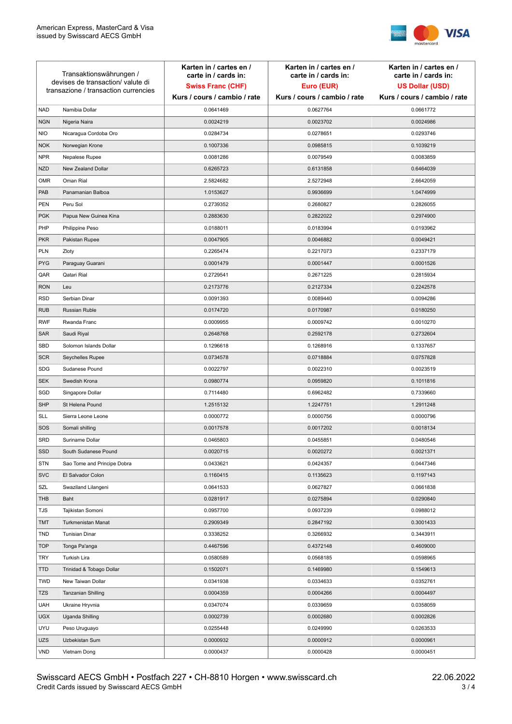

| Transaktionswährungen /<br>devises de transaction/valute di<br>transazione / transaction currencies |                             | Karten in / cartes en /<br>carte in / cards in:<br><b>Swiss Franc (CHF)</b> | Karten in / cartes en /<br>carte in / cards in:<br>Euro (EUR) | Karten in / cartes en /<br>carte in / cards in:<br><b>US Dollar (USD)</b> |
|-----------------------------------------------------------------------------------------------------|-----------------------------|-----------------------------------------------------------------------------|---------------------------------------------------------------|---------------------------------------------------------------------------|
|                                                                                                     |                             | Kurs / cours / cambio / rate                                                | Kurs / cours / cambio / rate                                  | Kurs / cours / cambio / rate                                              |
| <b>NAD</b>                                                                                          | Namibia Dollar              | 0.0641469                                                                   | 0.0627764                                                     | 0.0661772                                                                 |
| <b>NGN</b>                                                                                          | Nigeria Naira               | 0.0024219                                                                   | 0.0023702                                                     | 0.0024986                                                                 |
| <b>NIO</b>                                                                                          | Nicaragua Cordoba Oro       | 0.0284734                                                                   | 0.0278651                                                     | 0.0293746                                                                 |
| <b>NOK</b>                                                                                          | Norwegian Krone             | 0.1007336                                                                   | 0.0985815                                                     | 0.1039219                                                                 |
| <b>NPR</b>                                                                                          | Nepalese Rupee              | 0.0081286                                                                   | 0.0079549                                                     | 0.0083859                                                                 |
| <b>NZD</b>                                                                                          | New Zealand Dollar          | 0.6265723                                                                   | 0.6131858                                                     | 0.6464039                                                                 |
| <b>OMR</b>                                                                                          | Oman Rial                   | 2.5824682                                                                   | 2.5272948                                                     | 2.6642059                                                                 |
| PAB                                                                                                 | Panamanian Balboa           | 1.0153627                                                                   | 0.9936699                                                     | 1.0474999                                                                 |
| <b>PEN</b>                                                                                          | Peru Sol                    | 0.2739352                                                                   | 0.2680827                                                     | 0.2826055                                                                 |
| <b>PGK</b>                                                                                          | Papua New Guinea Kina       | 0.2883630                                                                   | 0.2822022                                                     | 0.2974900                                                                 |
| PHP                                                                                                 | Philippine Peso             | 0.0188011                                                                   | 0.0183994                                                     | 0.0193962                                                                 |
| <b>PKR</b>                                                                                          | Pakistan Rupee              | 0.0047905                                                                   | 0.0046882                                                     | 0.0049421                                                                 |
| PLN                                                                                                 | Zloty                       | 0.2265474                                                                   | 0.2217073                                                     | 0.2337179                                                                 |
| <b>PYG</b>                                                                                          | Paraguay Guarani            | 0.0001479                                                                   | 0.0001447                                                     | 0.0001526                                                                 |
| QAR                                                                                                 | Qatari Rial                 | 0.2729541                                                                   | 0.2671225                                                     | 0.2815934                                                                 |
| <b>RON</b>                                                                                          | Leu                         | 0.2173776                                                                   | 0.2127334                                                     | 0.2242578                                                                 |
| <b>RSD</b>                                                                                          | Serbian Dinar               | 0.0091393                                                                   | 0.0089440                                                     | 0.0094286                                                                 |
| <b>RUB</b>                                                                                          | Russian Ruble               | 0.0174720                                                                   | 0.0170987                                                     | 0.0180250                                                                 |
| <b>RWF</b>                                                                                          | Rwanda Franc                | 0.0009955                                                                   | 0.0009742                                                     | 0.0010270                                                                 |
| SAR                                                                                                 | Saudi Riyal                 | 0.2648768                                                                   | 0.2592178                                                     | 0.2732604                                                                 |
| SBD                                                                                                 | Solomon Islands Dollar      | 0.1296618                                                                   | 0.1268916                                                     | 0.1337657                                                                 |
| <b>SCR</b>                                                                                          | Seychelles Rupee            | 0.0734578                                                                   | 0.0718884                                                     | 0.0757828                                                                 |
| <b>SDG</b>                                                                                          | Sudanese Pound              | 0.0022797                                                                   | 0.0022310                                                     | 0.0023519                                                                 |
| <b>SEK</b>                                                                                          | Swedish Krona               | 0.0980774                                                                   | 0.0959820                                                     | 0.1011816                                                                 |
| SGD                                                                                                 | Singapore Dollar            | 0.7114480                                                                   | 0.6962482                                                     | 0.7339660                                                                 |
| <b>SHP</b>                                                                                          | St Helena Pound             | 1.2515132                                                                   | 1.2247751                                                     | 1.2911248                                                                 |
| <b>SLL</b>                                                                                          | Sierra Leone Leone          | 0.0000772                                                                   | 0.0000756                                                     | 0.0000796                                                                 |
| SOS                                                                                                 | Somali shilling             | 0.0017578                                                                   | 0.0017202                                                     | 0.0018134                                                                 |
| SRD                                                                                                 | Suriname Dollar             | 0.0465803                                                                   | 0.0455851                                                     | 0.0480546                                                                 |
| SSD                                                                                                 | South Sudanese Pound        | 0.0020715                                                                   | 0.0020272                                                     | 0.0021371                                                                 |
| <b>STN</b>                                                                                          | Sao Tome and Principe Dobra | 0.0433621                                                                   | 0.0424357                                                     | 0.0447346                                                                 |
| <b>SVC</b>                                                                                          | El Salvador Colon           | 0.1160415                                                                   | 0.1135623                                                     | 0.1197143                                                                 |
| SZL                                                                                                 | Swaziland Lilangeni         | 0.0641533                                                                   | 0.0627827                                                     | 0.0661838                                                                 |
| THB                                                                                                 | Baht                        | 0.0281917                                                                   | 0.0275894                                                     | 0.0290840                                                                 |
| TJS                                                                                                 | Tajikistan Somoni           | 0.0957700                                                                   | 0.0937239                                                     | 0.0988012                                                                 |
| <b>TMT</b>                                                                                          | Turkmenistan Manat          | 0.2909349                                                                   | 0.2847192                                                     | 0.3001433                                                                 |
| <b>TND</b>                                                                                          | Tunisian Dinar              | 0.3338252                                                                   | 0.3266932                                                     | 0.3443911                                                                 |
| <b>TOP</b>                                                                                          | Tonga Pa'anga               | 0.4467596                                                                   | 0.4372148                                                     | 0.4609000                                                                 |
| <b>TRY</b>                                                                                          | Turkish Lira                | 0.0580589                                                                   | 0.0568185                                                     | 0.0598965                                                                 |
| <b>TTD</b>                                                                                          | Trinidad & Tobago Dollar    | 0.1502071                                                                   | 0.1469980                                                     | 0.1549613                                                                 |
| <b>TWD</b>                                                                                          | New Taiwan Dollar           | 0.0341938                                                                   | 0.0334633                                                     | 0.0352761                                                                 |
| TZS                                                                                                 | Tanzanian Shilling          | 0.0004359                                                                   | 0.0004266                                                     | 0.0004497                                                                 |
| <b>UAH</b>                                                                                          | Ukraine Hryvnia             | 0.0347074                                                                   | 0.0339659                                                     | 0.0358059                                                                 |
| <b>UGX</b>                                                                                          | Uganda Shilling             | 0.0002739                                                                   | 0.0002680                                                     | 0.0002826                                                                 |
| <b>UYU</b>                                                                                          | Peso Uruguayo               | 0.0255448                                                                   | 0.0249990                                                     | 0.0263533                                                                 |
| <b>UZS</b>                                                                                          | Uzbekistan Sum              | 0.0000932                                                                   | 0.0000912                                                     | 0.0000961                                                                 |
| <b>VND</b>                                                                                          | Vietnam Dong                | 0.0000437                                                                   | 0.0000428                                                     | 0.0000451                                                                 |